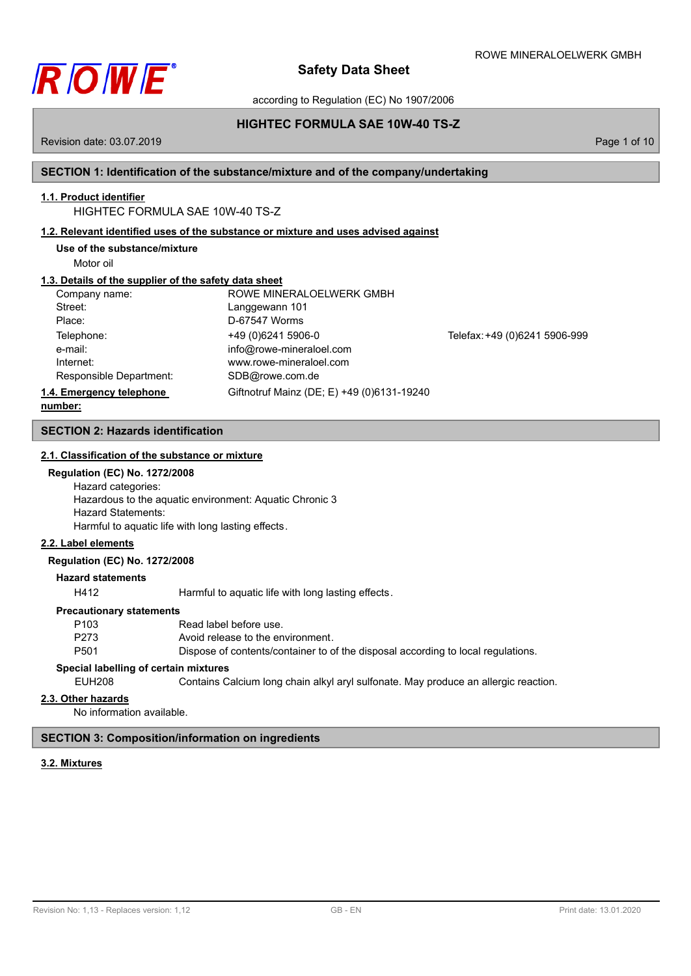

according to Regulation (EC) No 1907/2006

# **HIGHTEC FORMULA SAE 10W-40 TS-Z**

Revision date: 03.07.2019 **Page 1 of 10** 

# **SECTION 1: Identification of the substance/mixture and of the company/undertaking**

# **1.1. Product identifier**

# HIGHTEC FORMULA SAE 10W-40 TS-Z

# **1.2. Relevant identified uses of the substance or mixture and uses advised against**

**Use of the substance/mixture**

Motor oil

# **1.3. Details of the supplier of the safety data sheet**

| Company name:            | ROWE MINERALOELWERK GMBH                   |                               |
|--------------------------|--------------------------------------------|-------------------------------|
| Street:                  | Langgewann 101                             |                               |
| Place:                   | D-67547 Worms                              |                               |
| Telephone:               | +49 (0) 6241 5906-0                        | Telefax: +49 (0)6241 5906-999 |
| e-mail:                  | info@rowe-mineraloel.com                   |                               |
| Internet:                | www.rowe-mineraloel.com                    |                               |
| Responsible Department:  | SDB@rowe.com.de                            |                               |
| 1.4. Emergency telephone | Giftnotruf Mainz (DE; E) +49 (0)6131-19240 |                               |
| numher:                  |                                            |                               |

### **number:**

### **SECTION 2: Hazards identification**

### **2.1. Classification of the substance or mixture**

#### **Regulation (EC) No. 1272/2008**

Hazard categories: Hazardous to the aquatic environment: Aquatic Chronic 3 Hazard Statements: Harmful to aquatic life with long lasting effects.

### **2.2. Label elements**

#### **Regulation (EC) No. 1272/2008**

### **Hazard statements**

H412 Harmful to aquatic life with long lasting effects.

#### **Precautionary statements**

| P103 | Read label before use.                                                           |
|------|----------------------------------------------------------------------------------|
| P273 | Avoid release to the environment.                                                |
| P501 | Dispose of contents/container to of the disposal according to local regulations. |

# **Special labelling of certain mixtures**

EUH208 Contains Calcium long chain alkyl aryl sulfonate. May produce an allergic reaction.

#### **2.3. Other hazards**

No information available.

### **SECTION 3: Composition/information on ingredients**

### **3.2. Mixtures**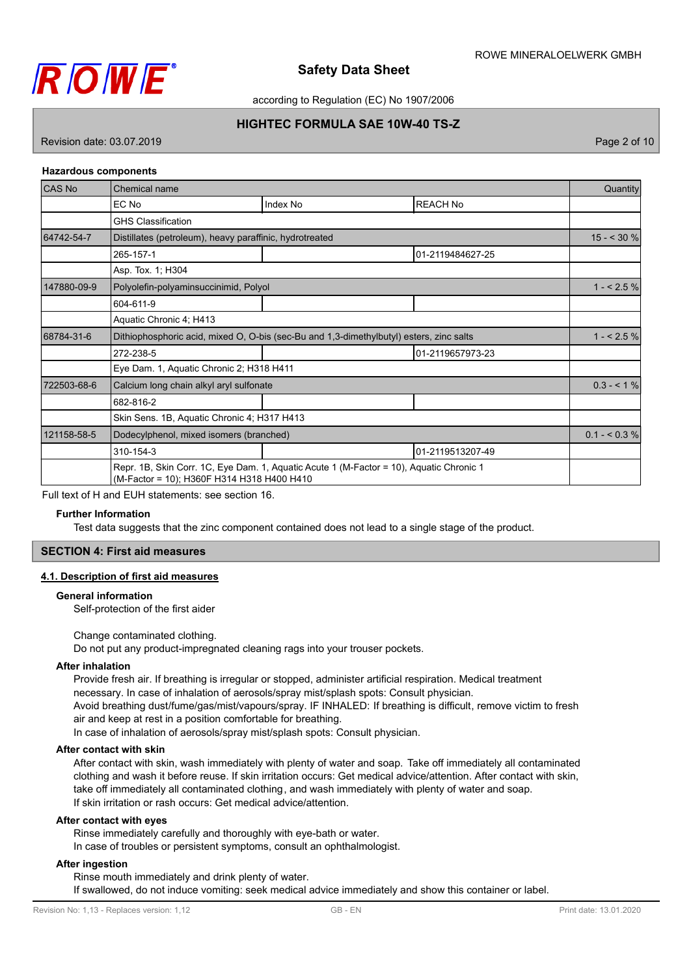

according to Regulation (EC) No 1907/2006

# **HIGHTEC FORMULA SAE 10W-40 TS-Z**

Revision date: 03.07.2019 Page 2 of 10

### **Hazardous components**

| <b>CAS No</b>                 | Chemical name                                                                                                                         |                                                                                         |                  | Quantity      |
|-------------------------------|---------------------------------------------------------------------------------------------------------------------------------------|-----------------------------------------------------------------------------------------|------------------|---------------|
|                               | EC No                                                                                                                                 | Index No                                                                                | <b>REACH No</b>  |               |
|                               | <b>GHS Classification</b>                                                                                                             |                                                                                         |                  |               |
| 64742-54-7                    | Distillates (petroleum), heavy paraffinic, hydrotreated                                                                               |                                                                                         |                  | $15 - 30 %$   |
|                               | 265-157-1                                                                                                                             |                                                                                         | 01-2119484627-25 |               |
|                               | Asp. Tox. 1; H304                                                                                                                     |                                                                                         |                  |               |
| 147880-09-9                   | Polyolefin-polyaminsuccinimid, Polyol                                                                                                 |                                                                                         |                  | $1 - 2.5%$    |
|                               | 604-611-9                                                                                                                             |                                                                                         |                  |               |
|                               | Aquatic Chronic 4; H413                                                                                                               |                                                                                         |                  |               |
| 68784-31-6                    |                                                                                                                                       | Dithiophosphoric acid, mixed O, O-bis (sec-Bu and 1,3-dimethylbutyl) esters, zinc salts |                  | $1 - 2.5%$    |
|                               | 272-238-5<br>01-2119657973-23                                                                                                         |                                                                                         |                  |               |
|                               | Eye Dam. 1, Aquatic Chronic 2; H318 H411                                                                                              |                                                                                         |                  |               |
| 722503-68-6                   | Calcium long chain alkyl aryl sulfonate                                                                                               |                                                                                         |                  | $0.3 - 1\%$   |
|                               | 682-816-2                                                                                                                             |                                                                                         |                  |               |
|                               | Skin Sens. 1B, Aquatic Chronic 4; H317 H413                                                                                           |                                                                                         |                  |               |
| 121158-58-5                   | Dodecylphenol, mixed isomers (branched)                                                                                               |                                                                                         |                  | $0.1 - 5.3\%$ |
| 01-2119513207-49<br>310-154-3 |                                                                                                                                       |                                                                                         |                  |               |
|                               | Repr. 1B, Skin Corr. 1C, Eye Dam. 1, Aquatic Acute 1 (M-Factor = 10), Aquatic Chronic 1<br>(M-Factor = 10); H360F H314 H318 H400 H410 |                                                                                         |                  |               |

Full text of H and EUH statements: see section 16.

#### **Further Information**

Test data suggests that the zinc component contained does not lead to a single stage of the product.

### **SECTION 4: First aid measures**

### **4.1. Description of first aid measures**

### **General information**

Self-protection of the first aider

#### Change contaminated clothing.

Do not put any product-impregnated cleaning rags into your trouser pockets.

#### **After inhalation**

Provide fresh air. If breathing is irregular or stopped, administer artificial respiration. Medical treatment necessary. In case of inhalation of aerosols/spray mist/splash spots: Consult physician. Avoid breathing dust/fume/gas/mist/vapours/spray. IF INHALED: If breathing is difficult, remove victim to fresh air and keep at rest in a position comfortable for breathing. In case of inhalation of aerosols/spray mist/splash spots: Consult physician.

### **After contact with skin**

After contact with skin, wash immediately with plenty of water and soap. Take off immediately all contaminated clothing and wash it before reuse. If skin irritation occurs: Get medical advice/attention. After contact with skin, take off immediately all contaminated clothing, and wash immediately with plenty of water and soap. If skin irritation or rash occurs: Get medical advice/attention.

## **After contact with eyes**

Rinse immediately carefully and thoroughly with eye-bath or water. In case of troubles or persistent symptoms, consult an ophthalmologist.

### **After ingestion**

Rinse mouth immediately and drink plenty of water.

If swallowed, do not induce vomiting: seek medical advice immediately and show this container or label.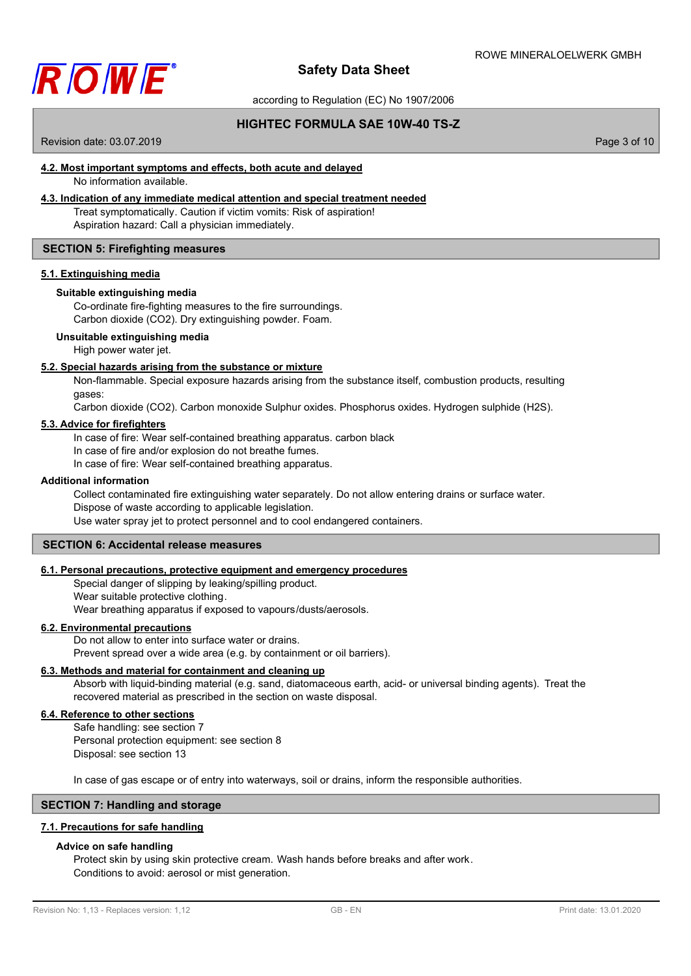

according to Regulation (EC) No 1907/2006

# **HIGHTEC FORMULA SAE 10W-40 TS-Z**

Revision date: 03.07.2019 **Page 3 of 10** 

# **4.2. Most important symptoms and effects, both acute and delayed**

No information available.

# **4.3. Indication of any immediate medical attention and special treatment needed**

Treat symptomatically. Caution if victim vomits: Risk of aspiration! Aspiration hazard: Call a physician immediately.

### **SECTION 5: Firefighting measures**

### **5.1. Extinguishing media**

### **Suitable extinguishing media**

Co-ordinate fire-fighting measures to the fire surroundings. Carbon dioxide (CO2). Dry extinguishing powder. Foam.

### **Unsuitable extinguishing media**

High power water jet.

### **5.2. Special hazards arising from the substance or mixture**

Non-flammable. Special exposure hazards arising from the substance itself, combustion products, resulting gases:

Carbon dioxide (CO2). Carbon monoxide Sulphur oxides. Phosphorus oxides. Hydrogen sulphide (H2S).

### **5.3. Advice for firefighters**

In case of fire: Wear self-contained breathing apparatus. carbon black

In case of fire and/or explosion do not breathe fumes.

In case of fire: Wear self-contained breathing apparatus.

### **Additional information**

Collect contaminated fire extinguishing water separately. Do not allow entering drains or surface water.

Dispose of waste according to applicable legislation.

Use water spray jet to protect personnel and to cool endangered containers.

# **SECTION 6: Accidental release measures**

## **6.1. Personal precautions, protective equipment and emergency procedures**

Special danger of slipping by leaking/spilling product. Wear suitable protective clothing.

Wear breathing apparatus if exposed to vapours/dusts/aerosols.

### **6.2. Environmental precautions**

Do not allow to enter into surface water or drains. Prevent spread over a wide area (e.g. by containment or oil barriers).

### **6.3. Methods and material for containment and cleaning up**

Absorb with liquid-binding material (e.g. sand, diatomaceous earth, acid- or universal binding agents). Treat the recovered material as prescribed in the section on waste disposal.

### **6.4. Reference to other sections**

Safe handling: see section 7

Personal protection equipment: see section 8 Disposal: see section 13

In case of gas escape or of entry into waterways, soil or drains, inform the responsible authorities.

### **SECTION 7: Handling and storage**

### **7.1. Precautions for safe handling**

### **Advice on safe handling**

Protect skin by using skin protective cream. Wash hands before breaks and after work. Conditions to avoid: aerosol or mist generation.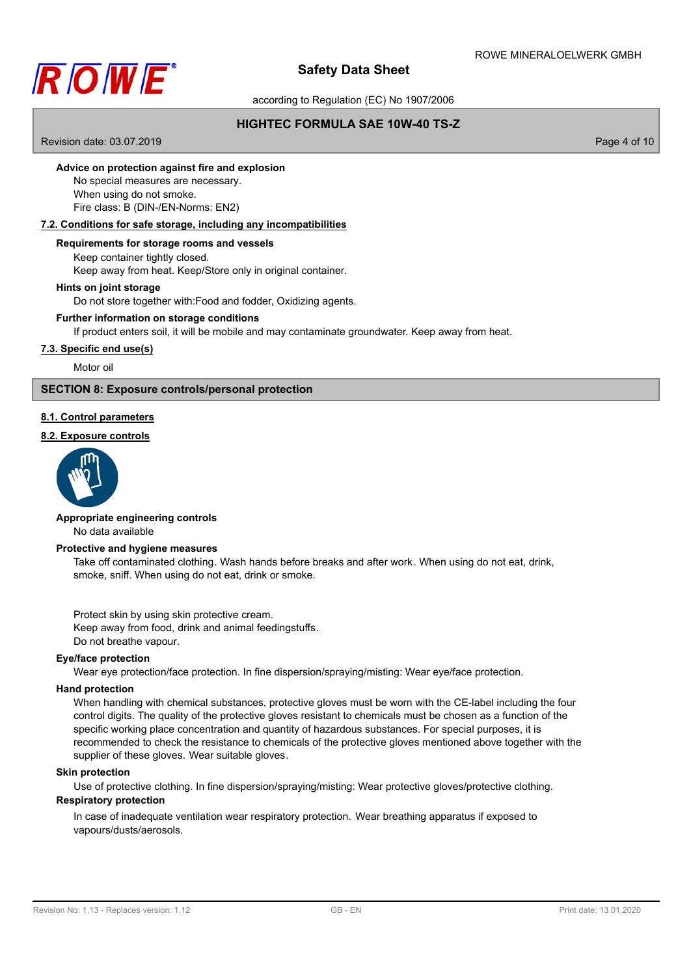

according to Regulation (EC) No 1907/2006

# **HIGHTEC FORMULA SAE 10W-40 TS-Z**

Revision date: 03.07.2019 **Page 4 of 10** 

### **Advice on protection against fire and explosion**

No special measures are necessary. When using do not smoke. Fire class: B (DIN-/EN-Norms: EN2)

### **7.2. Conditions for safe storage, including any incompatibilities**

### **Requirements for storage rooms and vessels**

Keep container tightly closed. Keep away from heat. Keep/Store only in original container.

### **Hints on joint storage**

Do not store together with:Food and fodder, Oxidizing agents.

### **Further information on storage conditions**

If product enters soil, it will be mobile and may contaminate groundwater. Keep away from heat.

### **7.3. Specific end use(s)**

Motor oil

## **SECTION 8: Exposure controls/personal protection**

### **8.1. Control parameters**

## **8.2. Exposure controls**



# **Appropriate engineering controls**

No data available

### **Protective and hygiene measures**

Take off contaminated clothing. Wash hands before breaks and after work. When using do not eat, drink, smoke, sniff. When using do not eat, drink or smoke.

Protect skin by using skin protective cream. Keep away from food, drink and animal feedingstuffs. Do not breathe vapour.

### **Eye/face protection**

Wear eye protection/face protection. In fine dispersion/spraying/misting: Wear eye/face protection.

### **Hand protection**

When handling with chemical substances, protective gloves must be worn with the CE-label including the four control digits. The quality of the protective gloves resistant to chemicals must be chosen as a function of the specific working place concentration and quantity of hazardous substances. For special purposes, it is recommended to check the resistance to chemicals of the protective gloves mentioned above together with the supplier of these gloves. Wear suitable gloves.

# **Skin protection**

Use of protective clothing. In fine dispersion/spraying/misting: Wear protective gloves/protective clothing.

# **Respiratory protection**

In case of inadequate ventilation wear respiratory protection. Wear breathing apparatus if exposed to vapours/dusts/aerosols.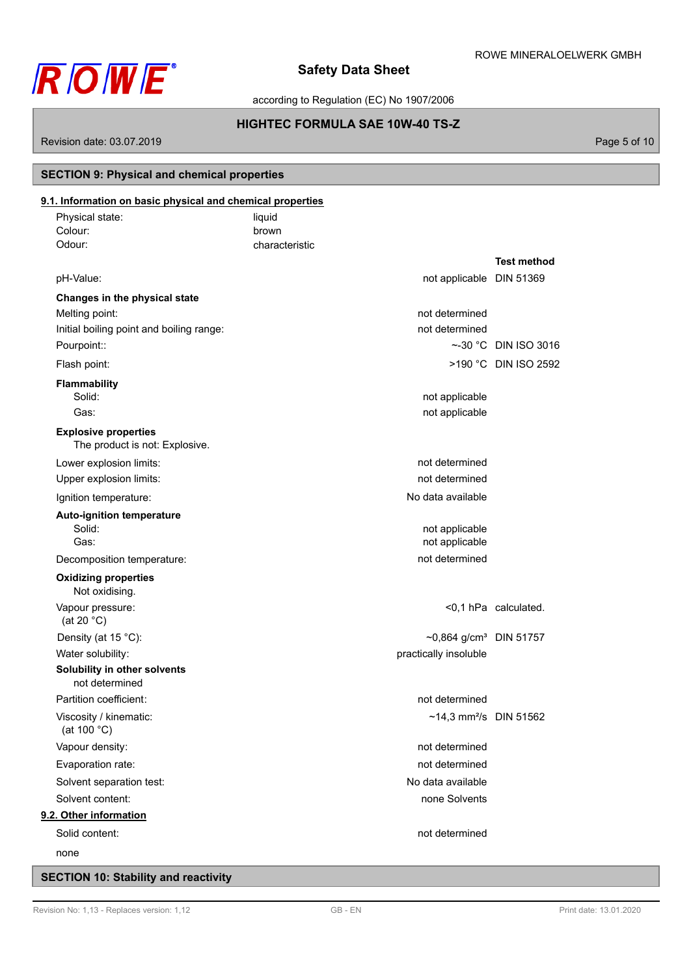

according to Regulation (EC) No 1907/2006

# **HIGHTEC FORMULA SAE 10W-40 TS-Z**

Revision date: 03.07.2019 **Page 5 of 10** 

# **SECTION 9: Physical and chemical properties**

| Physical state:                                               | liquid         |                                    |                      |
|---------------------------------------------------------------|----------------|------------------------------------|----------------------|
| Colour:                                                       | brown          |                                    |                      |
| Odour:                                                        | characteristic |                                    |                      |
|                                                               |                |                                    | <b>Test method</b>   |
| pH-Value:                                                     |                | not applicable DIN 51369           |                      |
| Changes in the physical state                                 |                |                                    |                      |
| Melting point:                                                |                | not determined                     |                      |
| Initial boiling point and boiling range:                      |                | not determined                     |                      |
| Pourpoint::                                                   |                |                                    | ~-30 °C DIN ISO 3016 |
| Flash point:                                                  |                |                                    | >190 °C DIN ISO 2592 |
| Flammability                                                  |                |                                    |                      |
| Solid:                                                        |                | not applicable                     |                      |
| Gas:                                                          |                | not applicable                     |                      |
| <b>Explosive properties</b><br>The product is not: Explosive. |                |                                    |                      |
| Lower explosion limits:                                       |                | not determined                     |                      |
| Upper explosion limits:                                       |                | not determined                     |                      |
| Ignition temperature:                                         |                | No data available                  |                      |
| <b>Auto-ignition temperature</b>                              |                |                                    |                      |
| Solid:                                                        |                | not applicable                     |                      |
| Gas:                                                          |                | not applicable                     |                      |
| Decomposition temperature:                                    |                | not determined                     |                      |
| <b>Oxidizing properties</b><br>Not oxidising.                 |                |                                    |                      |
| Vapour pressure:<br>(at 20 $^{\circ}$ C)                      |                |                                    | <0,1 hPa calculated. |
| Density (at 15 °C):                                           |                | ~0,864 g/cm <sup>3</sup> DIN 51757 |                      |
| Water solubility:                                             |                | practically insoluble              |                      |
| Solubility in other solvents<br>not determined                |                |                                    |                      |
| Partition coefficient:                                        |                | not determined                     |                      |
| Viscosity / kinematic:<br>(at 100 $^{\circ}$ C)               |                | ~14,3 mm <sup>2</sup> /s DIN 51562 |                      |
| Vapour density:                                               |                | not determined                     |                      |
| Evaporation rate:                                             |                | not determined                     |                      |
| Solvent separation test:                                      |                | No data available                  |                      |
| Solvent content:                                              |                | none Solvents                      |                      |
| 9.2. Other information                                        |                |                                    |                      |
| Solid content:                                                |                | not determined                     |                      |
| none                                                          |                |                                    |                      |

# **SECTION 10: Stability and reactivity**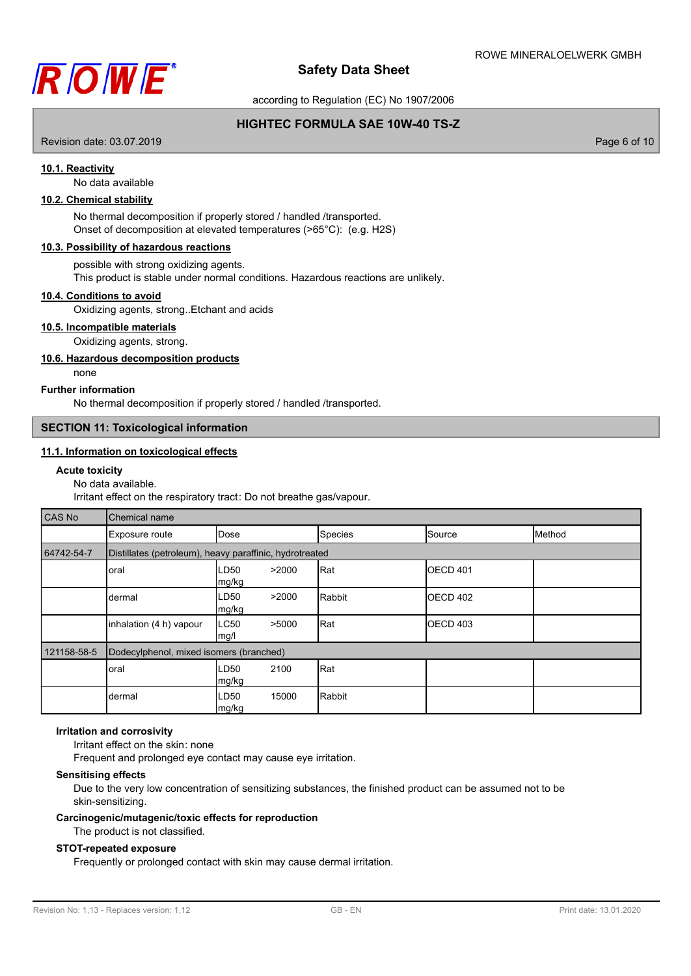

according to Regulation (EC) No 1907/2006

# **HIGHTEC FORMULA SAE 10W-40 TS-Z**

Revision date: 03.07.2019 **Page 6 of 10** 

### **10.1. Reactivity**

No data available

# **10.2. Chemical stability**

No thermal decomposition if properly stored / handled /transported. Onset of decomposition at elevated temperatures (>65°C): (e.g. H2S)

### **10.3. Possibility of hazardous reactions**

possible with strong oxidizing agents.

This product is stable under normal conditions. Hazardous reactions are unlikely.

### **10.4. Conditions to avoid**

Oxidizing agents, strong..Etchant and acids

# **10.5. Incompatible materials**

Oxidizing agents, strong.

# **10.6. Hazardous decomposition products**

none

#### **Further information**

No thermal decomposition if properly stored / handled /transported.

### **SECTION 11: Toxicological information**

### **11.1. Information on toxicological effects**

#### **Acute toxicity**

### No data available.

Irritant effect on the respiratory tract: Do not breathe gas/vapour.

| <b>CAS No</b> | Chemical name                                           |                                 |         |                  |        |
|---------------|---------------------------------------------------------|---------------------------------|---------|------------------|--------|
|               | Exposure route                                          | Dose                            | Species | Source           | Method |
| 64742-54-7    | Distillates (petroleum), heavy paraffinic, hydrotreated |                                 |         |                  |        |
|               | oral                                                    | >2000<br>LD50<br>mg/kg          | Rat     | <b>IOECD 401</b> |        |
|               | dermal                                                  | LD50<br>>2000<br> mg/kg         | Rabbit  | OECD 402         |        |
|               | inhalation (4 h) vapour                                 | LC50<br>>5000<br>$\lfloor$ mg/l | Rat     | <b>OECD 403</b>  |        |
| 121158-58-5   | Dodecylphenol, mixed isomers (branched)                 |                                 |         |                  |        |
|               | oral                                                    | 2100<br>LD50<br> mg/kg          | Rat     |                  |        |
|               | dermal                                                  | LD50<br>15000<br> mg/kg         | Rabbit  |                  |        |

### **Irritation and corrosivity**

Irritant effect on the skin: none

Frequent and prolonged eye contact may cause eye irritation.

#### **Sensitising effects**

Due to the very low concentration of sensitizing substances, the finished product can be assumed not to be skin-sensitizing.

### **Carcinogenic/mutagenic/toxic effects for reproduction** The product is not classified.

# **STOT-repeated exposure**

Frequently or prolonged contact with skin may cause dermal irritation.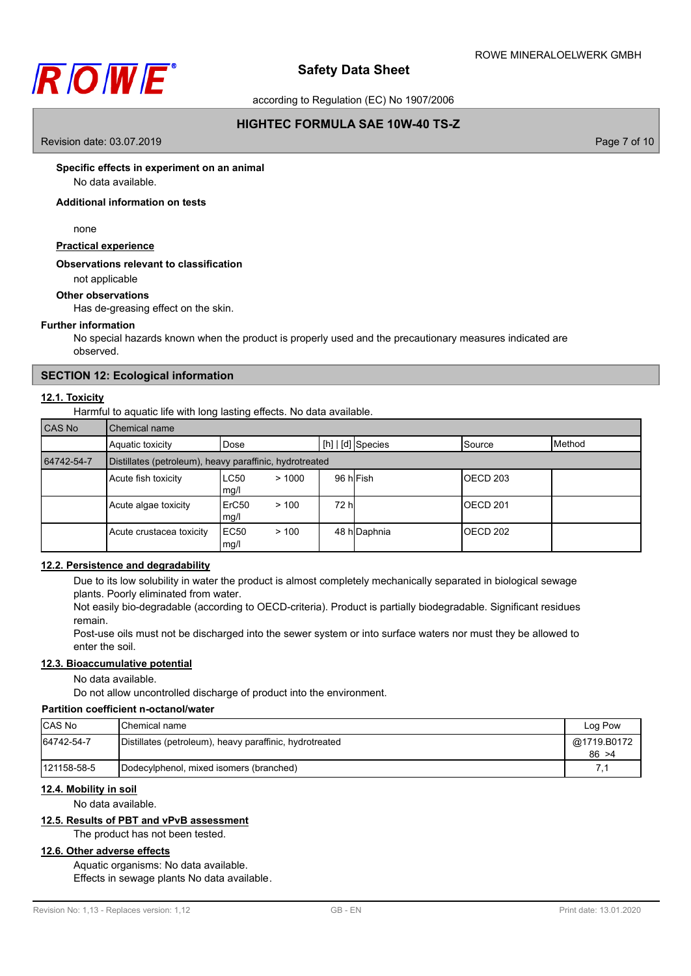

according to Regulation (EC) No 1907/2006

# **HIGHTEC FORMULA SAE 10W-40 TS-Z**

Revision date: 03.07.2019 **Page 7** of 10

### **Specific effects in experiment on an animal**

No data available.

### **Additional information on tests**

none

# **Practical experience**

### **Observations relevant to classification**

not applicable

### **Other observations**

Has de-greasing effect on the skin.

### **Further information**

No special hazards known when the product is properly used and the precautionary measures indicated are observed.

### **SECTION 12: Ecological information**

### **12.1. Toxicity**

Harmful to aquatic life with long lasting effects. No data available.

| CAS No     | Chemical name                                                            |                       |              |  |           |  |
|------------|--------------------------------------------------------------------------|-----------------------|--------------|--|-----------|--|
|            | Method<br>[h]   [d] Species<br>Aquatic toxicity<br>Dose<br><b>Source</b> |                       |              |  |           |  |
| 64742-54-7 | Distillates (petroleum), heavy paraffinic, hydrotreated                  |                       |              |  |           |  |
|            | Acute fish toxicity                                                      | LC50<br>>1000<br>mg/l | 96 hlFish    |  | IOECD 203 |  |
|            | Acute algae toxicity                                                     | ErC50<br>>100<br>mg/l | 72 hl        |  | OECD 201  |  |
|            | Acute crustacea toxicity                                                 | EC50<br>>100<br>mg/l  | 48 h Daphnia |  | OECD 202  |  |

### **12.2. Persistence and degradability**

Due to its low solubility in water the product is almost completely mechanically separated in biological sewage plants. Poorly eliminated from water.

Not easily bio-degradable (according to OECD-criteria). Product is partially biodegradable. Significant residues remain.

Post-use oils must not be discharged into the sewer system or into surface waters nor must they be allowed to enter the soil.

### **12.3. Bioaccumulative potential**

No data available.

Do not allow uncontrolled discharge of product into the environment.

# **Partition coefficient n-octanol/water**

| <b>CAS No</b> | IChemical name                                          | Log Pow               |
|---------------|---------------------------------------------------------|-----------------------|
| 64742-54-7    | Distillates (petroleum), heavy paraffinic, hydrotreated | @1719.B0172<br>86 > 4 |
| 121158-58-5   | Dodecylphenol, mixed isomers (branched)                 |                       |

### **12.4. Mobility in soil**

No data available.

# **12.5. Results of PBT and vPvB assessment**

The product has not been tested.

# **12.6. Other adverse effects**

Aquatic organisms: No data available. Effects in sewage plants No data available.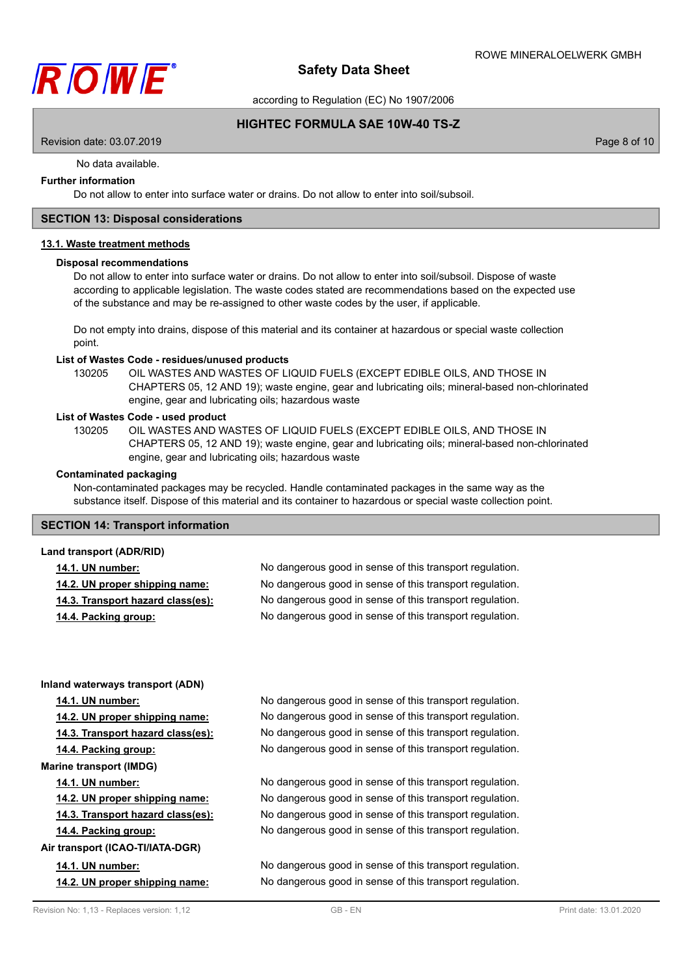

according to Regulation (EC) No 1907/2006

## **HIGHTEC FORMULA SAE 10W-40 TS-Z**

Revision date: 03.07.2019 **Page 8 of 10** 

No data available.

# **Further information**

Do not allow to enter into surface water or drains. Do not allow to enter into soil/subsoil.

### **SECTION 13: Disposal considerations**

## **13.1. Waste treatment methods**

#### **Disposal recommendations**

Do not allow to enter into surface water or drains. Do not allow to enter into soil/subsoil. Dispose of waste according to applicable legislation. The waste codes stated are recommendations based on the expected use of the substance and may be re-assigned to other waste codes by the user, if applicable.

Do not empty into drains, dispose of this material and its container at hazardous or special waste collection point.

#### **List of Wastes Code - residues/unused products**

130205 OIL WASTES AND WASTES OF LIQUID FUELS (EXCEPT EDIBLE OILS, AND THOSE IN CHAPTERS 05, 12 AND 19); waste engine, gear and lubricating oils; mineral-based non-chlorinated engine, gear and lubricating oils; hazardous waste

#### **List of Wastes Code - used product**

OIL WASTES AND WASTES OF LIQUID FUELS (EXCEPT EDIBLE OILS, AND THOSE IN CHAPTERS 05, 12 AND 19); waste engine, gear and lubricating oils; mineral-based non-chlorinated engine, gear and lubricating oils; hazardous waste 130205

### **Contaminated packaging**

Non-contaminated packages may be recycled. Handle contaminated packages in the same way as the substance itself. Dispose of this material and its container to hazardous or special waste collection point.

### **SECTION 14: Transport information**

#### **Land transport (ADR/RID)**

|  | <b>14.1. UN number:</b> |  |
|--|-------------------------|--|
|  |                         |  |

| 14.1. UN number:                  | No dangerous good in sense of this transport regulation. |
|-----------------------------------|----------------------------------------------------------|
| 14.2. UN proper shipping name:    | No dangerous good in sense of this transport regulation. |
| 14.3. Transport hazard class(es): | No dangerous good in sense of this transport regulation. |
| 14.4. Packing group:              | No dangerous good in sense of this transport regulation. |

### **Inland waterways transport (ADN)**

**14.1. UN number:** No dangerous good in sense of this transport regulation.

**14.2. UN proper shipping name:** No dangerous good in sense of this transport regulation.

**14.3. Transport hazard class(es):** No dangerous good in sense of this transport regulation.

**14.4. Packing group:** No dangerous good in sense of this transport regulation.

**Marine transport (IMDG)**

14.1. UN number: **14.1.** UN number: No dangerous good in sense of this transport regulation.

**14.2. UN proper shipping name:** No dangerous good in sense of this transport regulation.

**14.3. Transport hazard class(es):** No dangerous good in sense of this transport regulation.

**14.4. Packing group:** No dangerous good in sense of this transport regulation.

**Air transport (ICAO-TI/IATA-DGR)**

**14.1. UN number:** No dangerous good in sense of this transport regulation. **14.2. UN proper shipping name:** No dangerous good in sense of this transport regulation.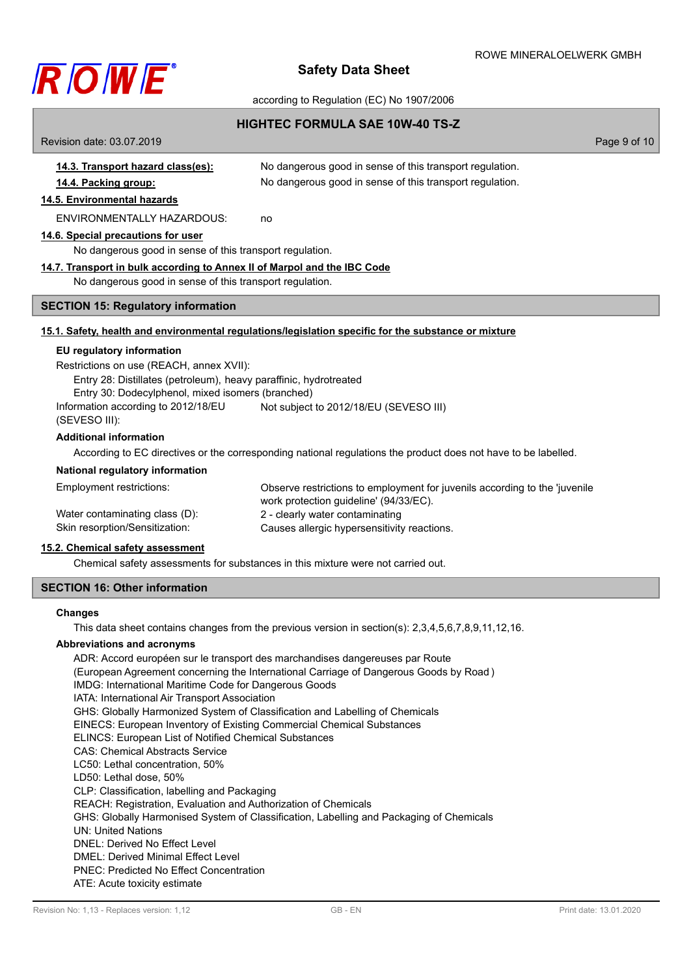

### according to Regulation (EC) No 1907/2006

### **HIGHTEC FORMULA SAE 10W-40 TS-Z**

Revision date: 03.07.2019 **Page 9 of 10 14.3. Transport hazard class(es):** No dangerous good in sense of this transport regulation. **14.4. Packing group:** No dangerous good in sense of this transport regulation. **14.5. Environmental hazards** ENVIRONMENTALLY HAZARDOUS: no **14.6. Special precautions for user** No dangerous good in sense of this transport regulation. **14.7. Transport in bulk according to Annex II of Marpol and the IBC Code** No dangerous good in sense of this transport regulation. **SECTION 15: Regulatory information**

### **15.1. Safety, health and environmental regulations/legislation specific for the substance or mixture**

### **EU regulatory information**

Restrictions on use (REACH, annex XVII): Entry 28: Distillates (petroleum), heavy paraffinic, hydrotreated Entry 30: Dodecylphenol, mixed isomers (branched) Information according to 2012/18/EU (SEVESO III): Not subject to 2012/18/EU (SEVESO III)

### **Additional information**

According to EC directives or the corresponding national regulations the product does not have to be labelled.

#### **National regulatory information**

| Employment restrictions:       | Observe restrictions to employment for juvenils according to the 'juvenile |
|--------------------------------|----------------------------------------------------------------------------|
|                                | work protection quideline' (94/33/EC).                                     |
| Water contaminating class (D): | 2 - clearly water contaminating                                            |
| Skin resorption/Sensitization: | Causes allergic hypersensitivity reactions.                                |

# **15.2. Chemical safety assessment**

Chemical safety assessments for substances in this mixture were not carried out.

### **SECTION 16: Other information**

#### **Changes**

This data sheet contains changes from the previous version in section(s): 2,3,4,5,6,7,8,9,11,12,16.

#### **Abbreviations and acronyms**

ADR: Accord européen sur le transport des marchandises dangereuses par Route (European Agreement concerning the International Carriage of Dangerous Goods by Road ) IMDG: International Maritime Code for Dangerous Goods IATA: International Air Transport Association GHS: Globally Harmonized System of Classification and Labelling of Chemicals EINECS: European Inventory of Existing Commercial Chemical Substances ELINCS: European List of Notified Chemical Substances CAS: Chemical Abstracts Service LC50: Lethal concentration, 50% LD50: Lethal dose, 50% CLP: Classification, labelling and Packaging REACH: Registration, Evaluation and Authorization of Chemicals GHS: Globally Harmonised System of Classification, Labelling and Packaging of Chemicals UN: United Nations DNEL: Derived No Effect Level DMEL: Derived Minimal Effect Level PNEC: Predicted No Effect Concentration ATE: Acute toxicity estimate